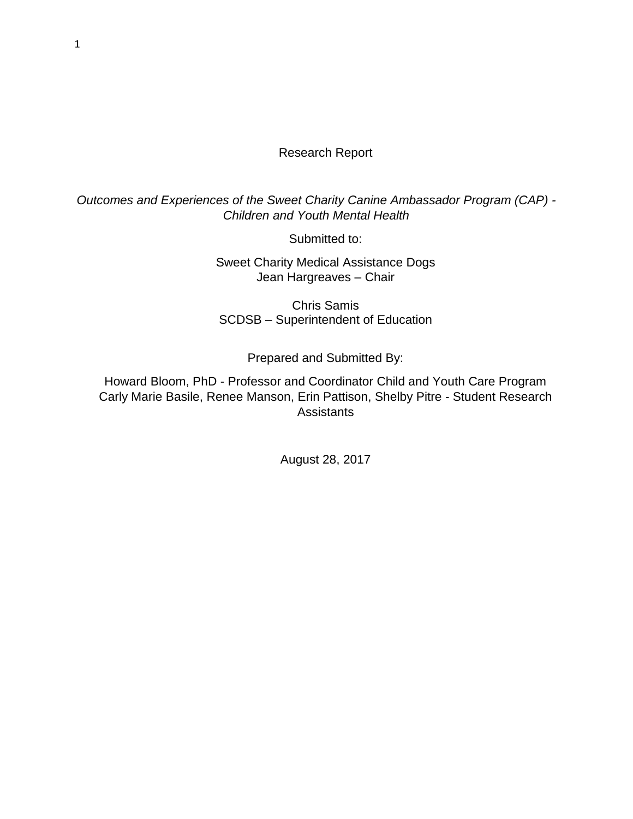#### Research Report

*Outcomes and Experiences of the Sweet Charity Canine Ambassador Program (CAP) - Children and Youth Mental Health*

Submitted to:

Sweet Charity Medical Assistance Dogs Jean Hargreaves – Chair

Chris Samis SCDSB – Superintendent of Education

Prepared and Submitted By:

Howard Bloom, PhD - Professor and Coordinator Child and Youth Care Program Carly Marie Basile, Renee Manson, Erin Pattison, Shelby Pitre - Student Research **Assistants** 

August 28, 2017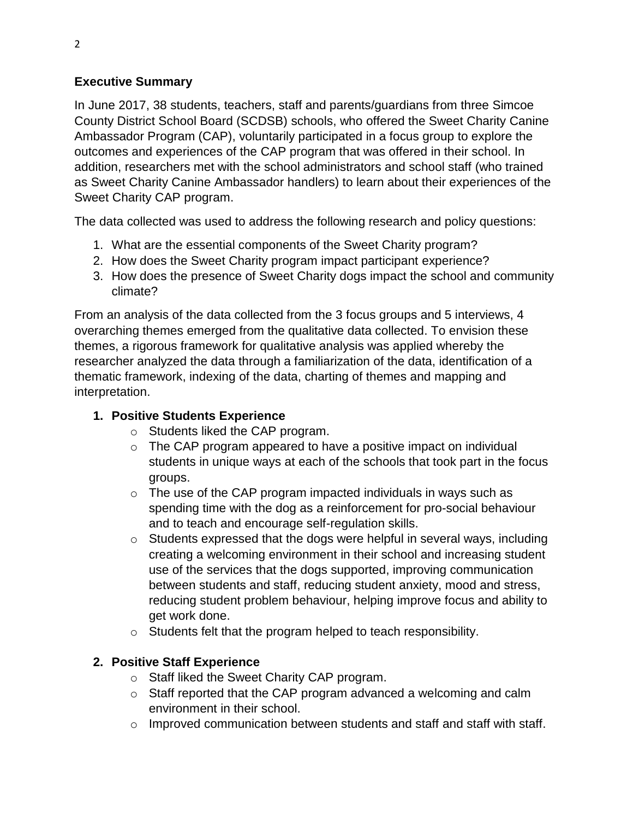### **Executive Summary**

In June 2017, 38 students, teachers, staff and parents/guardians from three Simcoe County District School Board (SCDSB) schools, who offered the Sweet Charity Canine Ambassador Program (CAP), voluntarily participated in a focus group to explore the outcomes and experiences of the CAP program that was offered in their school. In addition, researchers met with the school administrators and school staff (who trained as Sweet Charity Canine Ambassador handlers) to learn about their experiences of the Sweet Charity CAP program.

The data collected was used to address the following research and policy questions:

- 1. What are the essential components of the Sweet Charity program?
- 2. How does the Sweet Charity program impact participant experience?
- 3. How does the presence of Sweet Charity dogs impact the school and community climate?

From an analysis of the data collected from the 3 focus groups and 5 interviews, 4 overarching themes emerged from the qualitative data collected. To envision these themes, a rigorous framework for qualitative analysis was applied whereby the researcher analyzed the data through a familiarization of the data, identification of a thematic framework, indexing of the data, charting of themes and mapping and interpretation.

# **1. Positive Students Experience**

- o Students liked the CAP program.
- o The CAP program appeared to have a positive impact on individual students in unique ways at each of the schools that took part in the focus groups.
- $\circ$  The use of the CAP program impacted individuals in ways such as spending time with the dog as a reinforcement for pro-social behaviour and to teach and encourage self-regulation skills.
- o Students expressed that the dogs were helpful in several ways, including creating a welcoming environment in their school and increasing student use of the services that the dogs supported, improving communication between students and staff, reducing student anxiety, mood and stress, reducing student problem behaviour, helping improve focus and ability to get work done.
- o Students felt that the program helped to teach responsibility.

# **2. Positive Staff Experience**

- o Staff liked the Sweet Charity CAP program.
- o Staff reported that the CAP program advanced a welcoming and calm environment in their school.
- o Improved communication between students and staff and staff with staff.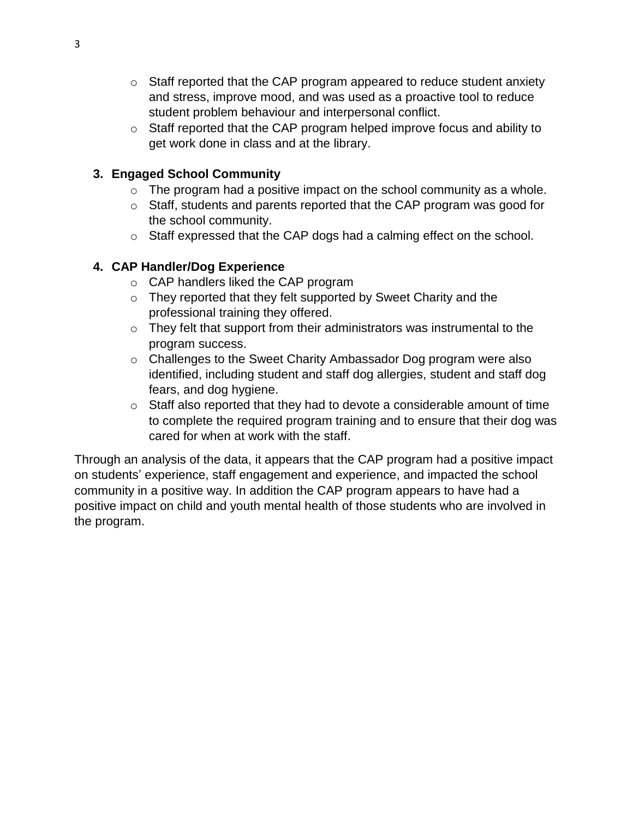- o Staff reported that the CAP program appeared to reduce student anxiety and stress, improve mood, and was used as a proactive tool to reduce student problem behaviour and interpersonal conflict.
- o Staff reported that the CAP program helped improve focus and ability to get work done in class and at the library.

### **3. Engaged School Community**

- $\circ$  The program had a positive impact on the school community as a whole.
- o Staff, students and parents reported that the CAP program was good for the school community.
- o Staff expressed that the CAP dogs had a calming effect on the school.

# **4. CAP Handler/Dog Experience**

- o CAP handlers liked the CAP program
- o They reported that they felt supported by Sweet Charity and the professional training they offered.
- $\circ$  They felt that support from their administrators was instrumental to the program success.
- o Challenges to the Sweet Charity Ambassador Dog program were also identified, including student and staff dog allergies, student and staff dog fears, and dog hygiene.
- o Staff also reported that they had to devote a considerable amount of time to complete the required program training and to ensure that their dog was cared for when at work with the staff.

Through an analysis of the data, it appears that the CAP program had a positive impact on students' experience, staff engagement and experience, and impacted the school community in a positive way. In addition the CAP program appears to have had a positive impact on child and youth mental health of those students who are involved in the program.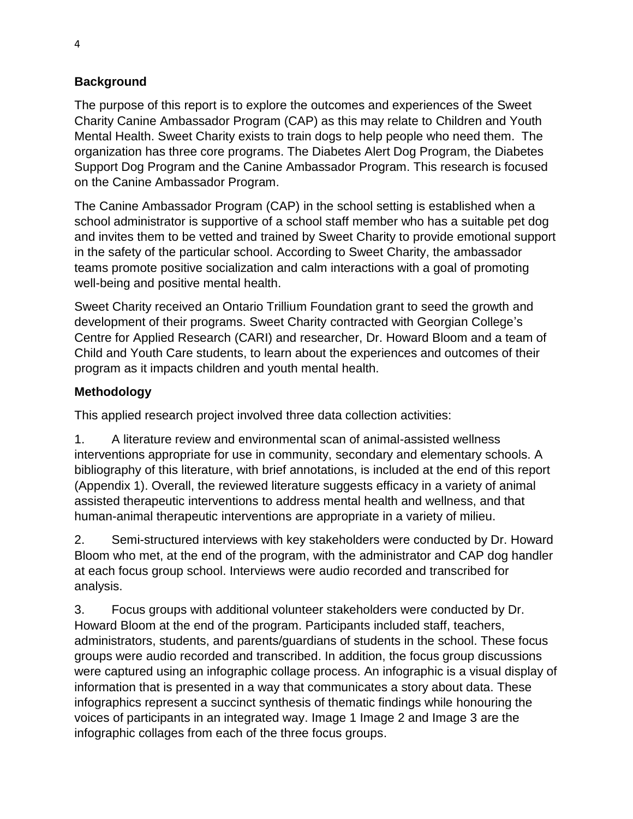### **Background**

The purpose of this report is to explore the outcomes and experiences of the Sweet Charity Canine Ambassador Program (CAP) as this may relate to Children and Youth Mental Health. Sweet Charity exists to train dogs to help people who need them. The organization has three core programs. The Diabetes Alert Dog Program, the Diabetes Support Dog Program and the Canine Ambassador Program. This research is focused on the Canine Ambassador Program.

The Canine Ambassador Program (CAP) in the school setting is established when a school administrator is supportive of a school staff member who has a suitable pet dog and invites them to be vetted and trained by Sweet Charity to provide emotional support in the safety of the particular school. According to Sweet Charity, the ambassador teams promote positive socialization and calm interactions with a goal of promoting well-being and positive mental health.

Sweet Charity received an Ontario Trillium Foundation grant to seed the growth and development of their programs. Sweet Charity contracted with Georgian College's Centre for Applied Research (CARI) and researcher, Dr. Howard Bloom and a team of Child and Youth Care students, to learn about the experiences and outcomes of their program as it impacts children and youth mental health.

#### **Methodology**

This applied research project involved three data collection activities:

1. A literature review and environmental scan of animal-assisted wellness interventions appropriate for use in community, secondary and elementary schools. A bibliography of this literature, with brief annotations, is included at the end of this report (Appendix 1). Overall, the reviewed literature suggests efficacy in a variety of animal assisted therapeutic interventions to address mental health and wellness, and that human-animal therapeutic interventions are appropriate in a variety of milieu.

2. Semi-structured interviews with key stakeholders were conducted by Dr. Howard Bloom who met, at the end of the program, with the administrator and CAP dog handler at each focus group school. Interviews were audio recorded and transcribed for analysis.

3. Focus groups with additional volunteer stakeholders were conducted by Dr. Howard Bloom at the end of the program. Participants included staff, teachers, administrators, students, and parents/guardians of students in the school. These focus groups were audio recorded and transcribed. In addition, the focus group discussions were captured using an infographic collage process. An infographic is a visual display of information that is presented in a way that communicates a story about data. These infographics represent a succinct synthesis of thematic findings while honouring the voices of participants in an integrated way. Image 1 Image 2 and Image 3 are the infographic collages from each of the three focus groups.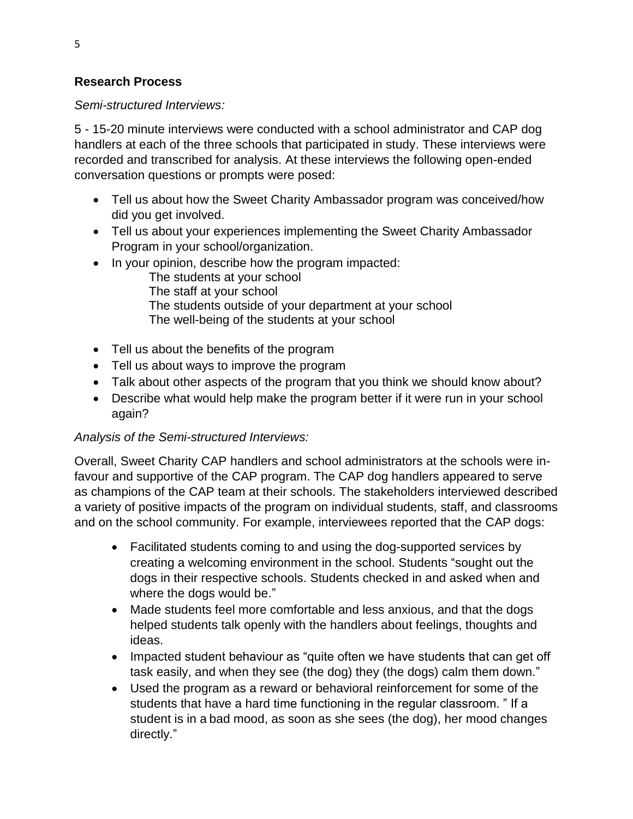### **Research Process**

*Semi-structured Interviews:*

5 - 15-20 minute interviews were conducted with a school administrator and CAP dog handlers at each of the three schools that participated in study. These interviews were recorded and transcribed for analysis. At these interviews the following open-ended conversation questions or prompts were posed:

- Tell us about how the Sweet Charity Ambassador program was conceived/how did you get involved.
- Tell us about your experiences implementing the Sweet Charity Ambassador Program in your school/organization.
- In your opinion, describe how the program impacted:
	- The students at your school The staff at your school The students outside of your department at your school The well-being of the students at your school
- Tell us about the benefits of the program
- Tell us about ways to improve the program
- Talk about other aspects of the program that you think we should know about?
- Describe what would help make the program better if it were run in your school again?

# *Analysis of the Semi-structured Interviews:*

Overall, Sweet Charity CAP handlers and school administrators at the schools were infavour and supportive of the CAP program. The CAP dog handlers appeared to serve as champions of the CAP team at their schools. The stakeholders interviewed described a variety of positive impacts of the program on individual students, staff, and classrooms and on the school community. For example, interviewees reported that the CAP dogs:

- Facilitated students coming to and using the dog-supported services by creating a welcoming environment in the school. Students "sought out the dogs in their respective schools. Students checked in and asked when and where the dogs would be."
- Made students feel more comfortable and less anxious, and that the dogs helped students talk openly with the handlers about feelings, thoughts and ideas.
- Impacted student behaviour as "quite often we have students that can get off task easily, and when they see (the dog) they (the dogs) calm them down."
- Used the program as a reward or behavioral reinforcement for some of the students that have a hard time functioning in the regular classroom. " If a student is in a bad mood, as soon as she sees (the dog), her mood changes directly."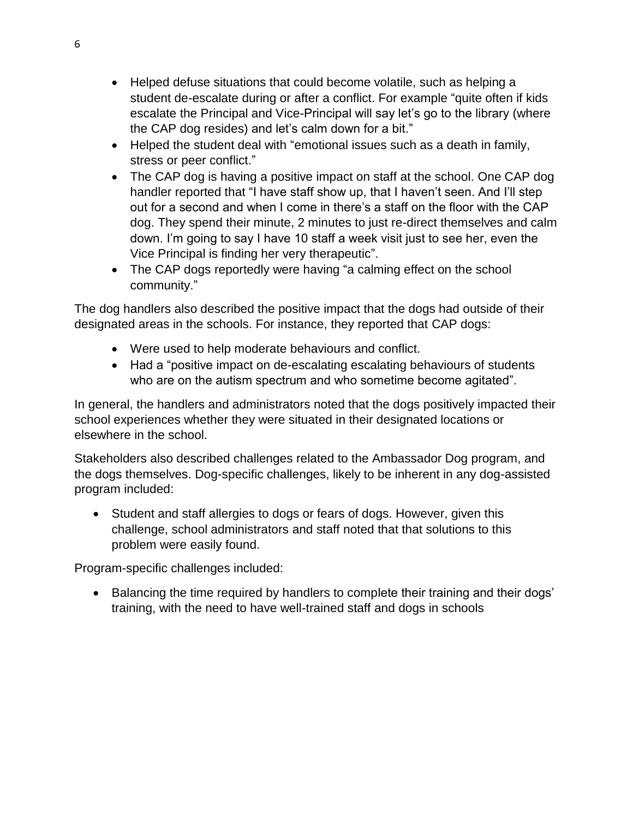- Helped defuse situations that could become volatile, such as helping a student de-escalate during or after a conflict. For example "quite often if kids escalate the Principal and Vice-Principal will say let's go to the library (where the CAP dog resides) and let's calm down for a bit."
- Helped the student deal with "emotional issues such as a death in family, stress or peer conflict."
- The CAP dog is having a positive impact on staff at the school. One CAP dog handler reported that "I have staff show up, that I haven't seen. And I'll step out for a second and when I come in there's a staff on the floor with the CAP dog. They spend their minute, 2 minutes to just re-direct themselves and calm down. I'm going to say I have 10 staff a week visit just to see her, even the Vice Principal is finding her very therapeutic".
- The CAP dogs reportedly were having "a calming effect on the school community."

The dog handlers also described the positive impact that the dogs had outside of their designated areas in the schools. For instance, they reported that CAP dogs:

- Were used to help moderate behaviours and conflict.
- Had a "positive impact on de-escalating escalating behaviours of students who are on the autism spectrum and who sometime become agitated".

In general, the handlers and administrators noted that the dogs positively impacted their school experiences whether they were situated in their designated locations or elsewhere in the school.

Stakeholders also described challenges related to the Ambassador Dog program, and the dogs themselves. Dog-specific challenges, likely to be inherent in any dog-assisted program included:

 Student and staff allergies to dogs or fears of dogs. However, given this challenge, school administrators and staff noted that that solutions to this problem were easily found.

Program-specific challenges included:

• Balancing the time required by handlers to complete their training and their dogs' training, with the need to have well-trained staff and dogs in schools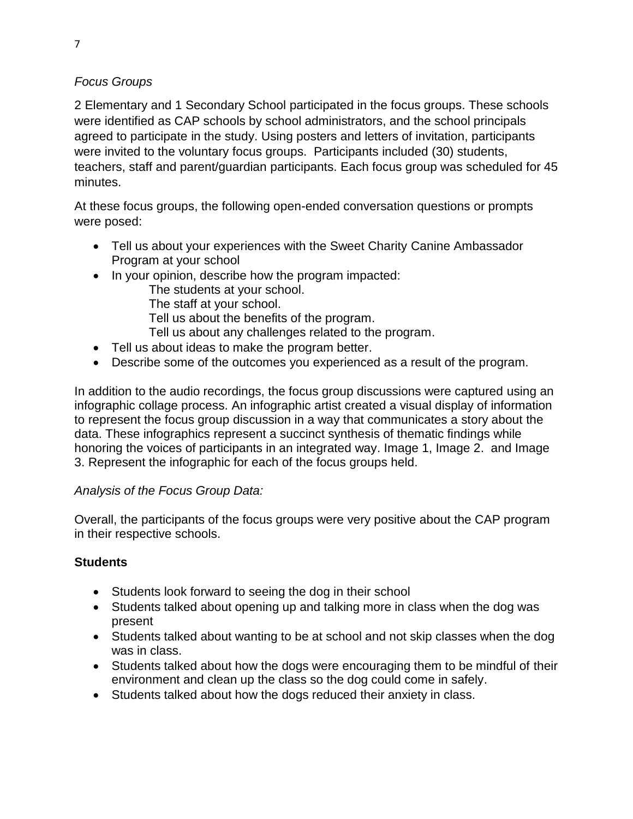### *Focus Groups*

2 Elementary and 1 Secondary School participated in the focus groups. These schools were identified as CAP schools by school administrators, and the school principals agreed to participate in the study. Using posters and letters of invitation, participants were invited to the voluntary focus groups. Participants included (30) students, teachers, staff and parent/guardian participants. Each focus group was scheduled for 45 minutes.

At these focus groups, the following open-ended conversation questions or prompts were posed:

- Tell us about your experiences with the Sweet Charity Canine Ambassador Program at your school
- In your opinion, describe how the program impacted:
	- The students at your school.
	- The staff at your school.
	- Tell us about the benefits of the program.
	- Tell us about any challenges related to the program.
- Tell us about ideas to make the program better.
- Describe some of the outcomes you experienced as a result of the program.

In addition to the audio recordings, the focus group discussions were captured using an infographic collage process. An infographic artist created a visual display of information to represent the focus group discussion in a way that communicates a story about the data. These infographics represent a succinct synthesis of thematic findings while honoring the voices of participants in an integrated way. Image 1, Image 2. and Image 3. Represent the infographic for each of the focus groups held.

### *Analysis of the Focus Group Data:*

Overall, the participants of the focus groups were very positive about the CAP program in their respective schools.

# **Students**

- Students look forward to seeing the dog in their school
- Students talked about opening up and talking more in class when the dog was present
- Students talked about wanting to be at school and not skip classes when the dog was in class.
- Students talked about how the dogs were encouraging them to be mindful of their environment and clean up the class so the dog could come in safely.
- Students talked about how the dogs reduced their anxiety in class.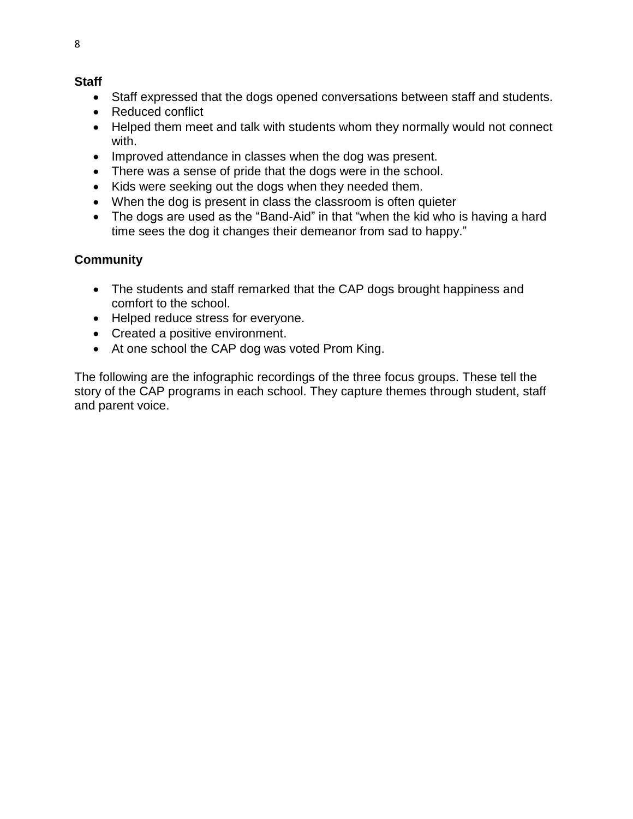#### **Staff**

- Staff expressed that the dogs opened conversations between staff and students.
- Reduced conflict
- Helped them meet and talk with students whom they normally would not connect with.
- Improved attendance in classes when the dog was present.
- There was a sense of pride that the dogs were in the school.
- Kids were seeking out the dogs when they needed them.
- When the dog is present in class the classroom is often quieter
- The dogs are used as the "Band-Aid" in that "when the kid who is having a hard time sees the dog it changes their demeanor from sad to happy."

### **Community**

- The students and staff remarked that the CAP dogs brought happiness and comfort to the school.
- Helped reduce stress for everyone.
- Created a positive environment.
- At one school the CAP dog was voted Prom King.

The following are the infographic recordings of the three focus groups. These tell the story of the CAP programs in each school. They capture themes through student, staff and parent voice.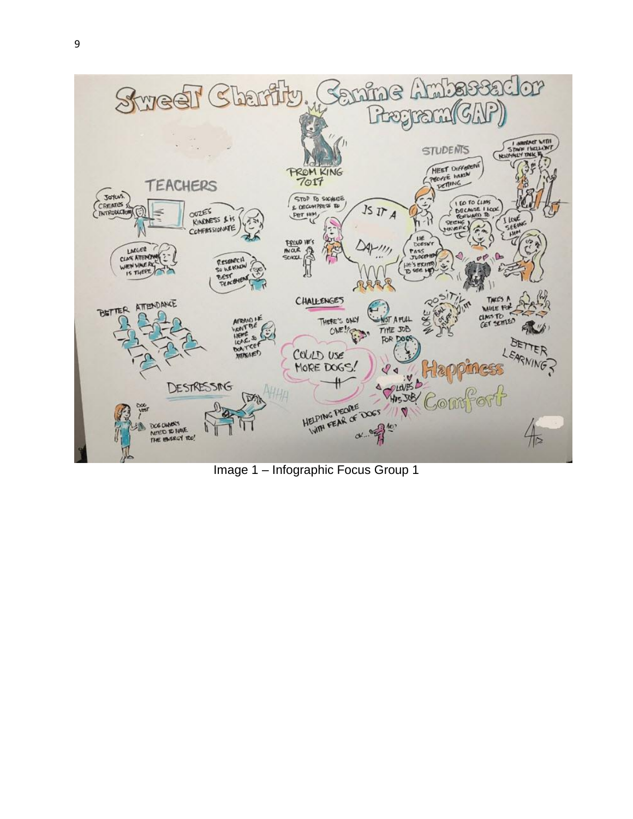

Image 1 – Infographic Focus Group 1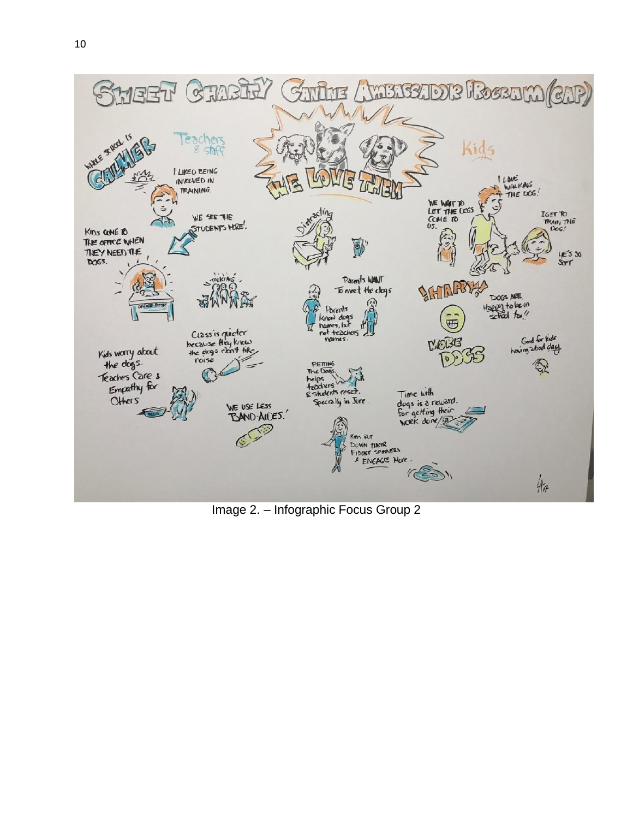

Image 2. – Infographic Focus Group 2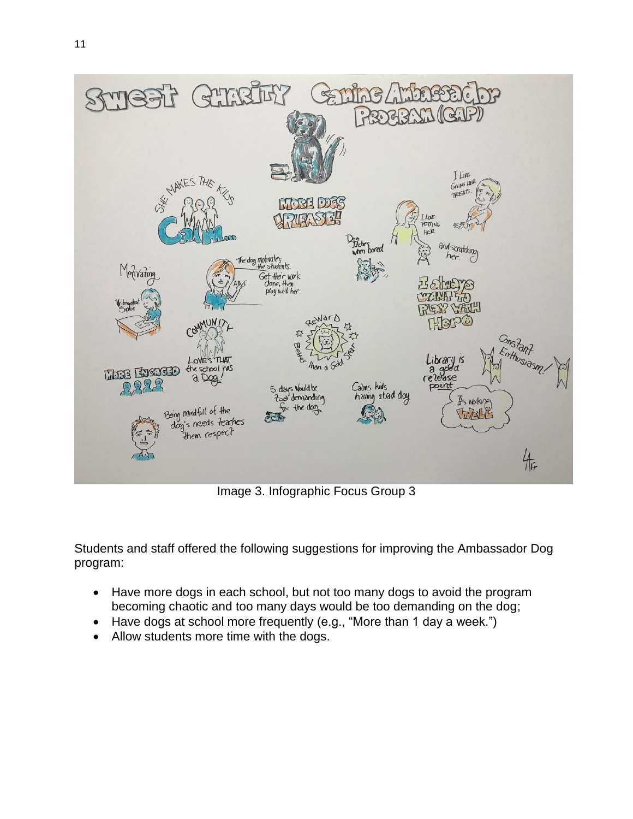

Image 3. Infographic Focus Group 3

 $447$ 

Students and staff offered the following suggestions for improving the Ambassador Dog program:

- Have more dogs in each school, but not too many dogs to avoid the program becoming chaotic and too many days would be too demanding on the dog;
- Have dogs at school more frequently (e.g., "More than 1 day a week.")
- Allow students more time with the dogs.